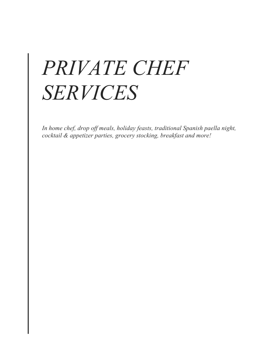# *PRIVATE CHEF SERVICES*

*In home chef, drop off meals, holiday feasts, traditional Spanish paella night, cocktail & appetizer parties, grocery stocking, breakfast and more!*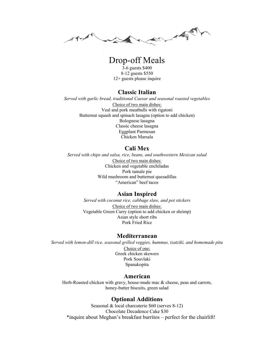a Maria

# Drop-off Meals

3-6 guests \$400 8-12 guests \$550 12+ guests please inquire

#### **Classic Italian**

*Served with garlic bread, traditional Caesar and seasonal roasted vegetables* Choice of two main dishes: Veal and pork meatballs with rigatoni Butternut squash and spinach lasagna (option to add chicken) Bolognese lasagna Classic cheese lasagna Eggplant Parmesan Chicken Marsala

## **Cali Mex**

*Served with chips and salsa, rice, beans, and southwestern Mexican salad* Choice of two main dishes: Chicken and vegetable enchiladas Pork tamale pie Wild mushroom and butternut quesadillas "American" beef tacos

#### **Asian Inspired**

*Served with coconut rice, cabbage slaw, and pot stickers* Choice of two main dishes: Vegetable Green Curry (option to add chicken or shrimp) Asian style short ribs Pork Fried Rice

#### **Mediterranean**

*Served with lemon-dill rice, seasonal grilled veggies, hummus, tzatziki, and homemade pita* Choice of one: Greek chicken skewers Pork Souvlaki Spanakopita

## **American**

Herb-Roasted chicken with gravy, house-made mac & cheese, peas and carrots, honey-butter biscuits, green salad

## **Optional Additions**

Seasonal & local charcuterie \$60 (serves 8-12) Chocolate Decadence Cake \$30 \*inquire about Meghan's breakfast burritos – perfect for the chairlift!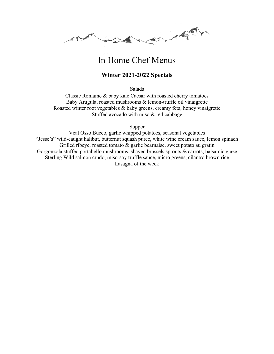Allen Y

# In Home Chef Menus

## **Winter 2021-2022 Specials**

Salads

Classic Romaine & baby kale Caesar with roasted cherry tomatoes Baby Arugula, roasted mushrooms & lemon-truffle oil vinaigrette Roasted winter root vegetables & baby greens, creamy feta, honey vinaigrette Stuffed avocado with miso & red cabbage

Supper

Veal Osso Bucco, garlic whipped potatoes, seasonal vegetables "Jesse's" wild-caught halibut, butternut squash puree, white wine cream sauce, lemon spinach Grilled ribeye, roasted tomato & garlic bearnaise, sweet potato au gratin Gorgonzola stuffed portabello mushrooms, shaved brussels sprouts & carrots, balsamic glaze Sterling Wild salmon crudo, miso-soy truffle sauce, micro greens, cilantro brown rice Lasagna of the week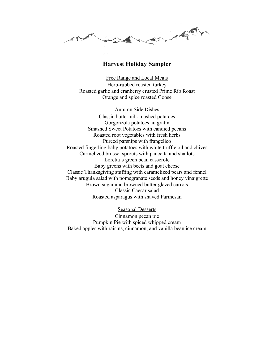Main of the Comment **South Company** 

#### **Harvest Holiday Sampler**

Free Range and Local Meats Herb-rubbed roasted turkey Roasted garlic and cranberry crusted Prime Rib Roast Orange and spice roasted Goose

Autumn Side Dishes Classic buttermilk mashed potatoes Gorgonzola potatoes au gratin Smashed Sweet Potatoes with candied pecans Roasted root vegetables with fresh herbs Pureed parsnips with frangelico Roasted fingerling baby potatoes with white truffle oil and chives Carmelized brussel sprouts with pancetta and shallots Loretta's green bean casserole Baby greens with beets and goat cheese Classic Thanksgiving stuffing with caramelized pears and fennel Baby arugula salad with pomegranate seeds and honey vinaigrette Brown sugar and browned butter glazed carrots Classic Caesar salad Roasted asparagus with shaved Parmesan

Seasonal Desserts

Cinnamon pecan pie Pumpkin Pie with spiced whipped cream Baked apples with raisins, cinnamon, and vanilla bean ice cream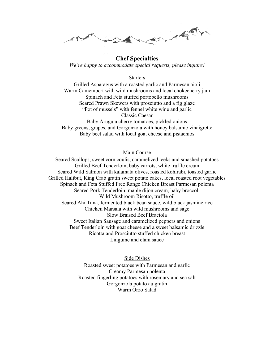a Maria

#### **Chef Specialties**

*We're happy to accommodate special requests, please inquire!* 

#### Starters

Grilled Asparagus with a roasted garlic and Parmesan aioli Warm Camembert with wild mushrooms and local chokecherry jam Spinach and Feta stuffed portobello mushrooms Seared Prawn Skewers with prosciutto and a fig glaze "Pot of mussels" with fennel white wine and garlic Classic Caesar Baby Arugula cherry tomatoes, pickled onions Baby greens, grapes, and Gorgonzola with honey balsamic vinaigrette

Baby beet salad with local goat cheese and pistachios

#### Main Course

Seared Scallops, sweet corn coulis, caramelized leeks and smashed potatoes Grilled Beef Tenderloin, baby carrots, white truffle cream Seared Wild Salmon with kalamata olives, roasted kohlrabi, toasted garlic Grilled Halibut, King Crab gratin sweet potato cakes, local roasted root vegetables Spinach and Feta Stuffed Free Range Chicken Breast Parmesan polenta Seared Pork Tenderloin, maple dijon cream, baby broccoli Wild Mushroom Risotto, truffle oil Seared Ahi Tuna, fermented black bean sauce, wild black jasmine rice Chicken Marsala with wild mushrooms and sage Slow Braised Beef Braciola Sweet Italian Sausage and caramelized peppers and onions Beef Tenderloin with goat cheese and a sweet balsamic drizzle Ricotta and Prosciutto stuffed chicken breast Linguine and clam sauce

> Side Dishes Roasted sweet potatoes with Parmesan and garlic Creamy Parmesan polenta Roasted fingerling potatoes with rosemary and sea salt Gorgonzola potato au gratin Warm Orzo Salad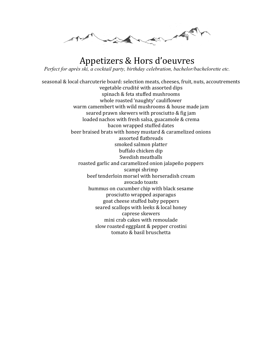Mary Mary Mary **Solling Some** 

# Appetizers & Hors d'oeuvres *Perfect for après ski, a cocktail party, birthday celebration, bachelor/bachelorette etc.*

seasonal & local charcuterie board: selection meats, cheeses, fruit, nuts, accoutrements vegetable crudité with assorted dips spinach & feta stuffed mushrooms whole roasted 'naughty' cauliflower warm camembert with wild mushrooms & house made jam seared prawn skewers with prosciutto & fig jam loaded nachos with fresh salsa, guacamole & crema bacon wrapped stuffed dates beer braised brats with honey mustard & caramelized onions assorted flatbreads smoked salmon platter buffalo chicken dip Swedish meatballs roasted garlic and caramelized onion jalapeño poppers scampi shrimp beef tenderloin morsel with horseradish cream avocado toasts hummus on cucumber chip with black sesame prosciutto wrapped asparagus goat cheese stuffed baby peppers seared scallops with leeks & local honey caprese skewers mini crab cakes with remoulade slow roasted eggplant & pepper crostini tomato & basil bruschetta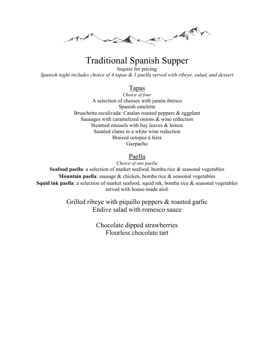a Maria

# Traditional Spanish Supper

Inquire for pricing *Spanish night includes choice of 4 tapas & 1 paella served with ribeye, salad, and dessert*

## Tapas

*Choice of four* A selection of cheeses with jamón ibérico Spanish omelette Bruschetta escalivada: Catalan roasted peppers & eggplant Sausages with caramelized onions & wine reduction Steamed mussels with bay leaves & lemon Sautéed clams in a white wine reduction Braised octopus á feira Gazpacho

## Paella

*Choice of one paella*  **Seafood paella**: a selection of market seafood, bomba rice & seasonal vegetables **Mountain paella**: sausage & chicken, bomba rice & seasonal vegetables

**Squid ink paella**: a selection of market seafood, squid ink, bomba rice & seasonal vegetables served with house-made aïoli

> Grilled ribeye with piquillo peppers & roasted garlic Endive salad with romesco sauce

> > Chocolate dipped strawberries Flourless chocolate tart